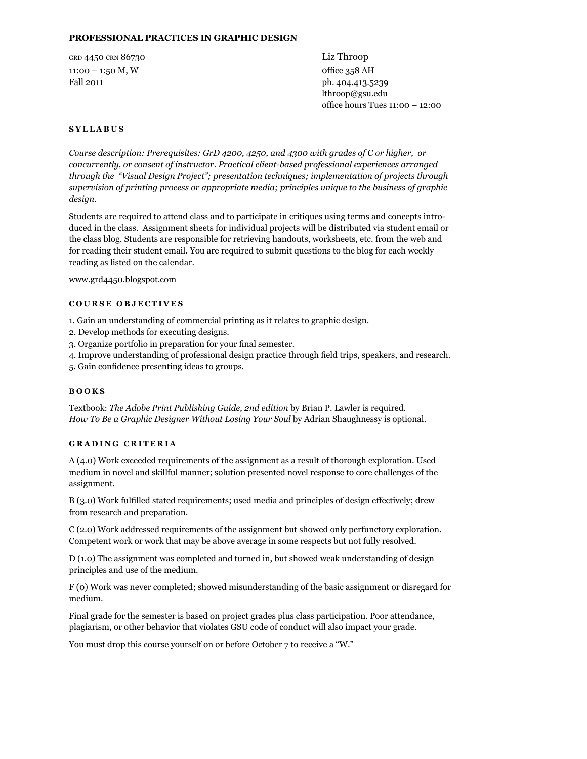## **Professional Practices in graphic design**

grd 4450 crn 86730 Liz Throop 11:00 – 1:50 M, W office 358 AH Fall 2011 ph. 404.413.5239

lthroop@gsu.edu office hours Tues 11:00 – 12:00

## **S yllabus**

*Course description: Prerequisites: GrD 4200, 4250, and 4300 with grades of C or higher, or concurrently, or consent of instructor. Practical client-based professional experiences arranged through the "Visual Design Project"; presentation techniques; implementation of projects through supervision of printing process or appropriate media; principles unique to the business of graphic design.* 

Students are required to attend class and to participate in critiques using terms and concepts introduced in the class. Assignment sheets for individual projects will be distributed via student email or the class blog. Students are responsible for retrieving handouts, worksheets, etc. from the web and for reading their student email. You are required to submit questions to the blog for each weekly reading as listed on the calendar.

www.grd4450.blogspot.com

#### **COURSE OB J ECTI V ES**

1. Gain an understanding of commercial printing as it relates to graphic design.

- 2. Develop methods for executing designs.
- 3. Organize portfolio in preparation for your final semester.
- 4. Improve understanding of professional design practice through field trips, speakers, and research.
- 5. Gain confidence presenting ideas to groups.

## **books**

Textbook: *The Adobe Print Publishing Guide, 2nd edition* by Brian P. Lawler is required. *How To Be a Graphic Designer Without Losing Your Soul* by Adrian Shaughnessy is optional.

## **G rading criteria**

A (4.0) Work exceeded requirements of the assignment as a result of thorough exploration. Used medium in novel and skillful manner; solution presented novel response to core challenges of the assignment.

B (3.0) Work fulfilled stated requirements; used media and principles of design effectively; drew from research and preparation.

C (2.0) Work addressed requirements of the assignment but showed only perfunctory exploration. Competent work or work that may be above average in some respects but not fully resolved.

D (1.0) The assignment was completed and turned in, but showed weak understanding of design principles and use of the medium.

F (0) Work was never completed; showed misunderstanding of the basic assignment or disregard for medium.

Final grade for the semester is based on project grades plus class participation. Poor attendance, plagiarism, or other behavior that violates GSU code of conduct will also impact your grade.

You must drop this course yourself on or before October 7 to receive a "W."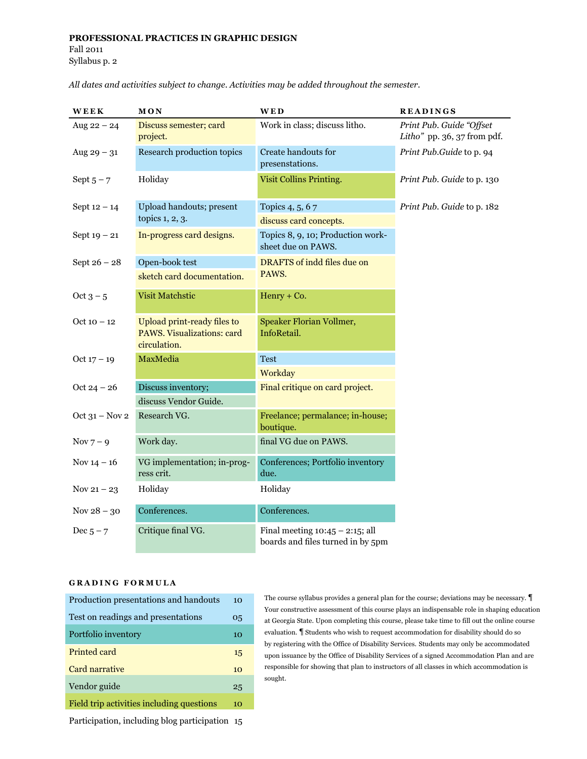# **Professional Practices in graphic design** Fall 2011 Syllabus p. 2

| WEEK             | MON                                                                       | <b>WED</b>                                                              | <b>READINGS</b>                                         |
|------------------|---------------------------------------------------------------------------|-------------------------------------------------------------------------|---------------------------------------------------------|
| Aug $22 - 24$    | Discuss semester; card<br>project.                                        | Work in class; discuss litho.                                           | Print Pub. Guide "Offset<br>Litho" pp. 36, 37 from pdf. |
| Aug $29 - 31$    | Research production topics                                                | Create handouts for<br>presenstations.                                  | Print Pub.Guide to p. 94                                |
| Sept $5 - 7$     | Holiday                                                                   | <b>Visit Collins Printing.</b>                                          | Print Pub. Guide to p. 130                              |
| Sept $12 - 14$   | Upload handouts; present                                                  | Topics 4, 5, 67                                                         | Print Pub. Guide to p. 182                              |
|                  | topics 1, 2, 3.                                                           | discuss card concepts.                                                  |                                                         |
| Sept $19 - 21$   | In-progress card designs.                                                 | Topics 8, 9, 10; Production work-<br>sheet due on PAWS.                 |                                                         |
| Sept $26 - 28$   | Open-book test                                                            | DRAFTS of indd files due on                                             |                                                         |
|                  | sketch card documentation.                                                | PAWS.                                                                   |                                                         |
| Oct $3 - 5$      | <b>Visit Matchstic</b>                                                    | Henry + Co.                                                             |                                                         |
| Oct 10 – 12      | Upload print-ready files to<br>PAWS. Visualizations: card<br>circulation. | Speaker Florian Vollmer,<br>InfoRetail.                                 |                                                         |
| Oct $17 - 19$    | MaxMedia                                                                  | <b>Test</b>                                                             |                                                         |
|                  |                                                                           | Workday                                                                 |                                                         |
| $Oct 24 - 26$    | Discuss inventory;                                                        | Final critique on card project.                                         |                                                         |
|                  | discuss Vendor Guide.                                                     |                                                                         |                                                         |
| Oct $31 - Nov 2$ | Research VG.                                                              | Freelance; permalance; in-house;<br>boutique.                           |                                                         |
| $Nov 7-9$        | Work day.                                                                 | final VG due on PAWS.                                                   |                                                         |
| Nov $14 - 16$    | VG implementation; in-prog-<br>ress crit.                                 | Conferences; Portfolio inventory<br>due.                                |                                                         |
| Nov $21 - 23$    | Holiday                                                                   | Holiday                                                                 |                                                         |
| Nov $28 - 30$    | Conferences.                                                              | Conferences.                                                            |                                                         |
| Dec $5 - 7$      | Critique final VG.                                                        | Final meeting $10:45 - 2:15$ ; all<br>boards and files turned in by 5pm |                                                         |

*All dates and activities subject to change. Activities may be added throughout the semester.*

# **G rading F ormula**

| Production presentations and handouts     | 10 |
|-------------------------------------------|----|
| Test on readings and presentations        | 05 |
| Portfolio inventory                       | 10 |
| Printed card                              | 15 |
| Card narrative                            | 10 |
| Vendor guide                              | 25 |
| Field trip activities including questions | 10 |

The course syllabus provides a general plan for the course; deviations may be necessary. ¶ Your constructive assessment of this course plays an indispensable role in shaping education at Georgia State. Upon completing this course, please take time to fill out the online course evaluation. ¶ Students who wish to request accommodation for disability should do so by registering with the Office of Disability Services. Students may only be accommodated upon issuance by the Office of Disability Services of a signed Accommodation Plan and are responsible for showing that plan to instructors of all classes in which accommodation is sought.

Participation, including blog participation 15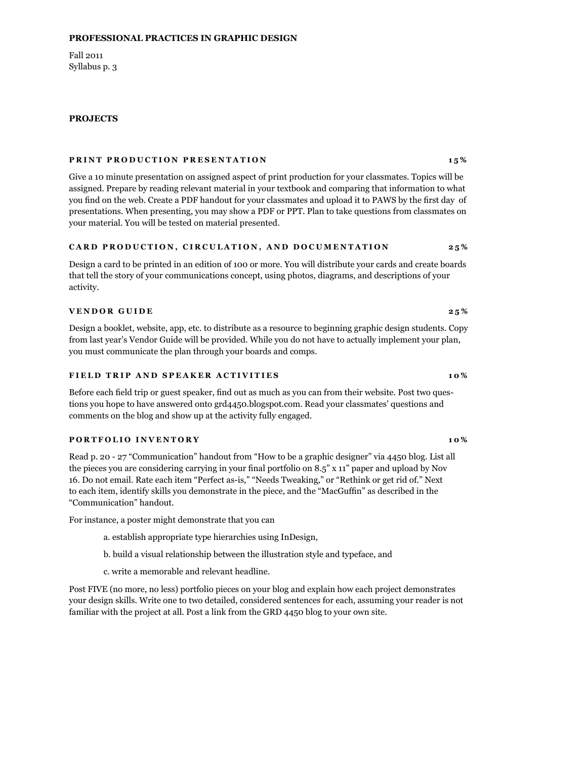### **Professional Practices in graphic design**

Fall 2011 Syllabus p. 3

#### **Projects**

#### **PRINT PRODUCTION PRESENTATION** 15%

Give a 10 minute presentation on assigned aspect of print production for your classmates. Topics will be assigned. Prepare by reading relevant material in your textbook and comparing that information to what you find on the web. Create a PDF handout for your classmates and upload it to PAWS by the first day of presentations. When presenting, you may show a PDF or PPT. Plan to take questions from classmates on your material. You will be tested on material presented.

#### **C ard p roduction, circulation, and documentation 25%**

Design a card to be printed in an edition of 100 or more. You will distribute your cards and create boards that tell the story of your communications concept, using photos, diagrams, and descriptions of your activity.

### **VENDOR GUIDE** 25%

Design a booklet, website, app, etc. to distribute as a resource to beginning graphic design students. Copy from last year's Vendor Guide will be provided. While you do not have to actually implement your plan, you must communicate the plan through your boards and comps.

### **F ield tri p and s p eaker acti v ities 10%**

Before each field trip or guest speaker, find out as much as you can from their website. Post two questions you hope to have answered onto grd4450.blogspot.com. Read your classmates' questions and comments on the blog and show up at the activity fully engaged.

#### **PORTFOLIO INVENTORY** 10%

Read p. 20 - 27 "Communication" handout from "How to be a graphic designer" via 4450 blog. List all the pieces you are considering carrying in your final portfolio on 8.5" x 11" paper and upload by Nov 16. Do not email. Rate each item "Perfect as-is," "Needs Tweaking," or "Rethink or get rid of." Next to each item, identify skills you demonstrate in the piece, and the "MacGuffin" as described in the "Communication" handout.

For instance, a poster might demonstrate that you can

- a. establish appropriate type hierarchies using InDesign,
- b. build a visual relationship between the illustration style and typeface, and
- c. write a memorable and relevant headline.

Post FIVE (no more, no less) portfolio pieces on your blog and explain how each project demonstrates your design skills. Write one to two detailed, considered sentences for each, assuming your reader is not familiar with the project at all. Post a link from the GRD 4450 blog to your own site.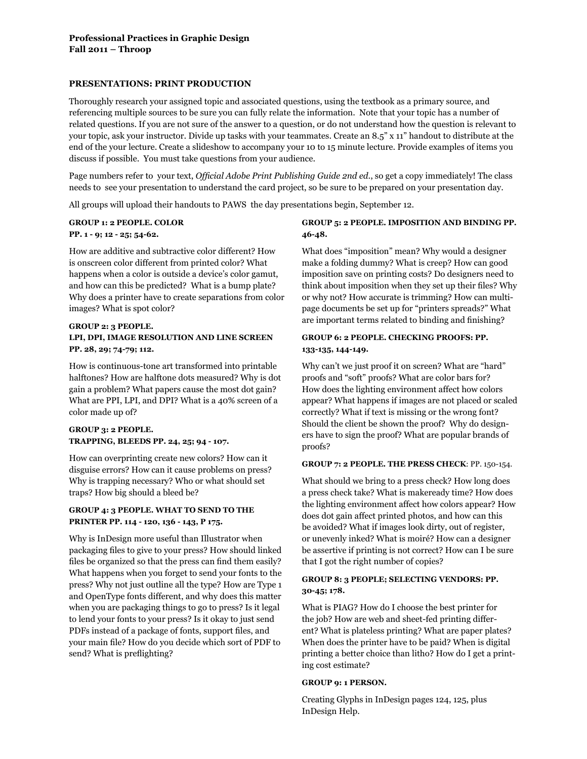## **Presentations: Print Production**

Thoroughly research your assigned topic and associated questions, using the textbook as a primary source, and referencing multiple sources to be sure you can fully relate the information. Note that your topic has a number of related questions. If you are not sure of the answer to a question, or do not understand how the question is relevant to your topic, ask your instructor. Divide up tasks with your teammates. Create an 8.5" x 11" handout to distribute at the end of the your lecture. Create a slideshow to accompany your 10 to 15 minute lecture. Provide examples of items you discuss if possible. You must take questions from your audience.

Page numbers refer to your text, *Official Adobe Print Publishing Guide 2nd ed*., so get a copy immediately! The class needs to see your presentation to understand the card project, so be sure to be prepared on your presentation day.

All groups will upload their handouts to PAWS the day presentations begin, September 12.

### **Group 1: 2 people. Color**

#### **pp. 1 - 9; 12 - 25; 54-62.**

How are additive and subtractive color different? How is onscreen color different from printed color? What happens when a color is outside a device's color gamut, and how can this be predicted? What is a bump plate? Why does a printer have to create separations from color images? What is spot color?

# **Group 2: 3 people. LPI, DPI, image resolution and line screen pp. 28, 29; 74-79; 112.**

How is continuous-tone art transformed into printable halftones? How are halftone dots measured? Why is dot gain a problem? What papers cause the most dot gain? What are PPI, LPI, and DPI? What is a 40% screen of a color made up of?

# **Group 3: 2 people. Trapping, bleeds pp. 24, 25; 94 - 107.**

How can overprinting create new colors? How can it disguise errors? How can it cause problems on press? Why is trapping necessary? Who or what should set traps? How big should a bleed be?

# **Group 4: 3 people. What to send to the printer pp. 114 - 120, 136 - 143, p 175.**

Why is InDesign more useful than Illustrator when packaging files to give to your press? How should linked files be organized so that the press can find them easily? What happens when you forget to send your fonts to the press? Why not just outline all the type? How are Type 1 and OpenType fonts different, and why does this matter when you are packaging things to go to press? Is it legal to lend your fonts to your press? Is it okay to just send PDFs instead of a package of fonts, support files, and your main file? How do you decide which sort of PDF to send? What is preflighting?

# **Group 5: 2 people. Imposition and binding pp. 46-48.**

What does "imposition" mean? Why would a designer make a folding dummy? What is creep? How can good imposition save on printing costs? Do designers need to think about imposition when they set up their files? Why or why not? How accurate is trimming? How can multipage documents be set up for "printers spreads?" What are important terms related to binding and finishing?

# **Group 6: 2 people. Checking proofs: pp. 133-135, 144-149.**

Why can't we just proof it on screen? What are "hard" proofs and "soft" proofs? What are color bars for? How does the lighting environment affect how colors appear? What happens if images are not placed or scaled correctly? What if text is missing or the wrong font? Should the client be shown the proof? Why do designers have to sign the proof? What are popular brands of proofs?

#### **Group 7: 2 people. The press check**: pp. 150-154.

What should we bring to a press check? How long does a press check take? What is makeready time? How does the lighting environment affect how colors appear? How does dot gain affect printed photos, and how can this be avoided? What if images look dirty, out of register, or unevenly inked? What is moiré? How can a designer be assertive if printing is not correct? How can I be sure that I got the right number of copies?

## **Group 8: 3 people; Selecting vendors: pp. 30-45; 178.**

What is PIAG? How do I choose the best printer for the job? How are web and sheet-fed printing different? What is plateless printing? What are paper plates? When does the printer have to be paid? When is digital printing a better choice than litho? How do I get a printing cost estimate?

#### **Group 9: 1 person.**

Creating Glyphs in InDesign pages 124, 125, plus InDesign Help.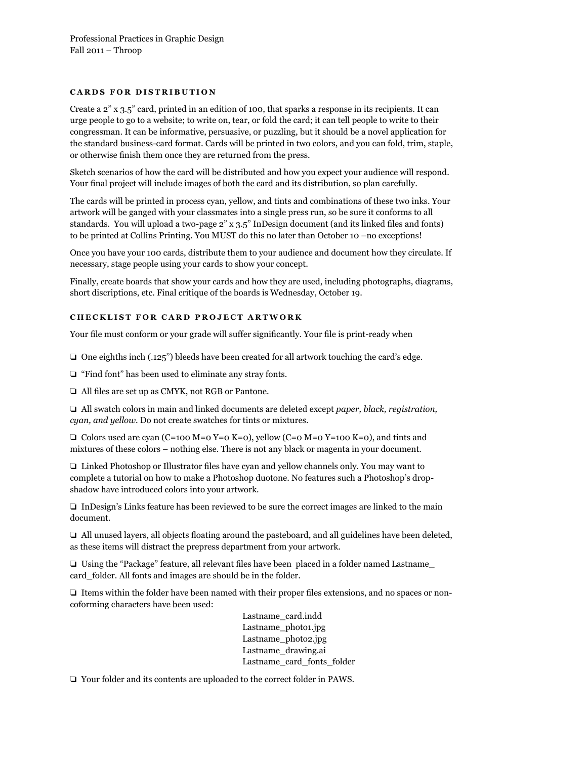## **C ards for distribution**

Create a 2" x 3.5" card, printed in an edition of 100, that sparks a response in its recipients. It can urge people to go to a website; to write on, tear, or fold the card; it can tell people to write to their congressman. It can be informative, persuasive, or puzzling, but it should be a novel application for the standard business-card format. Cards will be printed in two colors, and you can fold, trim, staple, or otherwise finish them once they are returned from the press.

Sketch scenarios of how the card will be distributed and how you expect your audience will respond. Your final project will include images of both the card and its distribution, so plan carefully.

The cards will be printed in process cyan, yellow, and tints and combinations of these two inks. Your artwork will be ganged with your classmates into a single press run, so be sure it conforms to all standards. You will upload a two-page 2" x 3.5" InDesign document (and its linked files and fonts) to be printed at Collins Printing. You MUST do this no later than October 10 –no exceptions!

Once you have your 100 cards, distribute them to your audience and document how they circulate. If necessary, stage people using your cards to show your concept.

Finally, create boards that show your cards and how they are used, including photographs, diagrams, short discriptions, etc. Final critique of the boards is Wednesday, October 19.

# **C hecklist for C ard Pro j ect art w ork**

Your file must conform or your grade will suffer significantly. Your file is print-ready when

 $\Box$  One eighths inch (.125") bleeds have been created for all artwork touching the card's edge.

 $\Box$  "Find font" has been used to eliminate any stray fonts.

 $\Box$  All files are set up as CMYK, not RGB or Pantone.

□ All swatch colors in main and linked documents are deleted except *paper, black, registration, cyan, and yellow*. Do not create swatches for tints or mixtures.

 $\Box$  Colors used are cyan (C=100 M=0 Y=0 K=0), yellow (C=0 M=0 Y=100 K=0), and tints and mixtures of these colors – nothing else. There is not any black or magenta in your document.

 $\Box$  Linked Photoshop or Illustrator files have cyan and yellow channels only. You may want to complete a tutorial on how to make a Photoshop duotone. No features such a Photoshop's dropshadow have introduced colors into your artwork.

 $\Box$  InDesign's Links feature has been reviewed to be sure the correct images are linked to the main document.

 $\Box$  All unused layers, all objects floating around the pasteboard, and all guidelines have been deleted, as these items will distract the prepress department from your artwork.

 $\Box$  Using the "Package" feature, all relevant files have been placed in a folder named Lastname card folder. All fonts and images are should be in the folder.

 $\Box$  Items within the folder have been named with their proper files extensions, and no spaces or noncoforming characters have been used:

> Lastname\_card.indd Lastname\_photo1.jpg Lastname\_photo2.jpg Lastname\_drawing.ai Lastname\_card\_fonts\_folder

 $\Box$  Your folder and its contents are uploaded to the correct folder in PAWS.